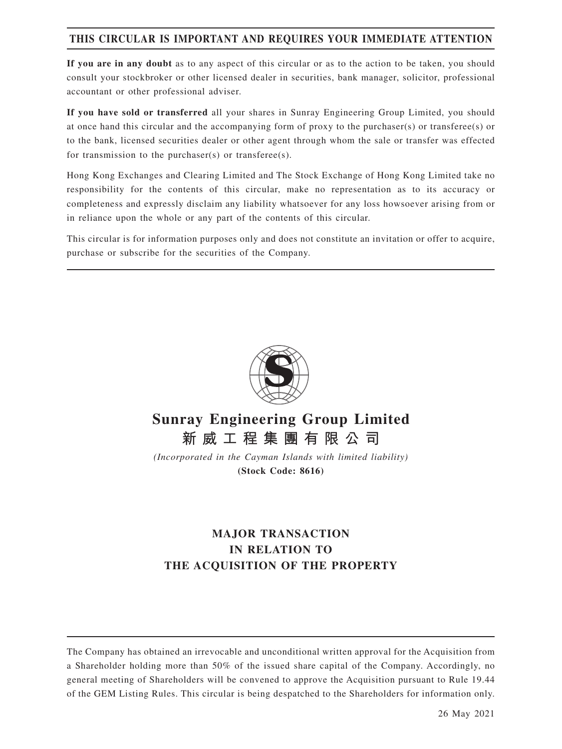# **THIS CIRCULAR IS IMPORTANT AND REQUIRES YOUR IMMEDIATE ATTENTION**

**If you are in any doubt** as to any aspect of this circular or as to the action to be taken, you should consult your stockbroker or other licensed dealer in securities, bank manager, solicitor, professional accountant or other professional adviser.

**If you have sold or transferred** all your shares in Sunray Engineering Group Limited, you should at once hand this circular and the accompanying form of proxy to the purchaser(s) or transferee(s) or to the bank, licensed securities dealer or other agent through whom the sale or transfer was effected for transmission to the purchaser(s) or transferee(s).

Hong Kong Exchanges and Clearing Limited and The Stock Exchange of Hong Kong Limited take no responsibility for the contents of this circular, make no representation as to its accuracy or completeness and expressly disclaim any liability whatsoever for any loss howsoever arising from or in reliance upon the whole or any part of the contents of this circular.

This circular is for information purposes only and does not constitute an invitation or offer to acquire, purchase or subscribe for the securities of the Company.



# **Sunray Engineering Group Limited 新威工程集團有限公司**

*(Incorporated in the Cayman Islands with limited liability)* **(Stock Code: 8616)**

# **MAJOR TRANSACTION IN RELATION TO THE ACQUISITION OF THE PROPERTY**

The Company has obtained an irrevocable and unconditional written approval for the Acquisition from a Shareholder holding more than 50% of the issued share capital of the Company. Accordingly, no general meeting of Shareholders will be convened to approve the Acquisition pursuant to Rule 19.44 of the GEM Listing Rules. This circular is being despatched to the Shareholders for information only.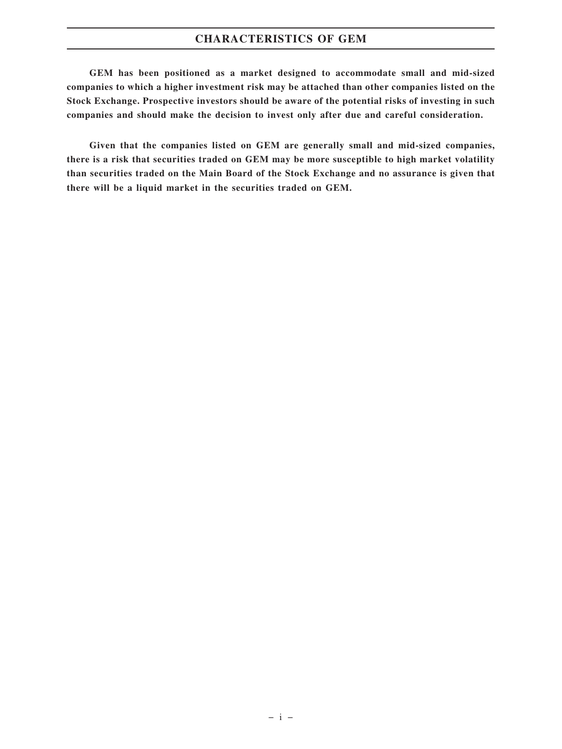# **CHARACTERISTICS OF GEM**

**GEM has been positioned as a market designed to accommodate small and mid-sized companies to which a higher investment risk may be attached than other companies listed on the Stock Exchange. Prospective investors should be aware of the potential risks of investing in such companies and should make the decision to invest only after due and careful consideration.**

**Given that the companies listed on GEM are generally small and mid-sized companies, there is a risk that securities traded on GEM may be more susceptible to high market volatility than securities traded on the Main Board of the Stock Exchange and no assurance is given that there will be a liquid market in the securities traded on GEM.**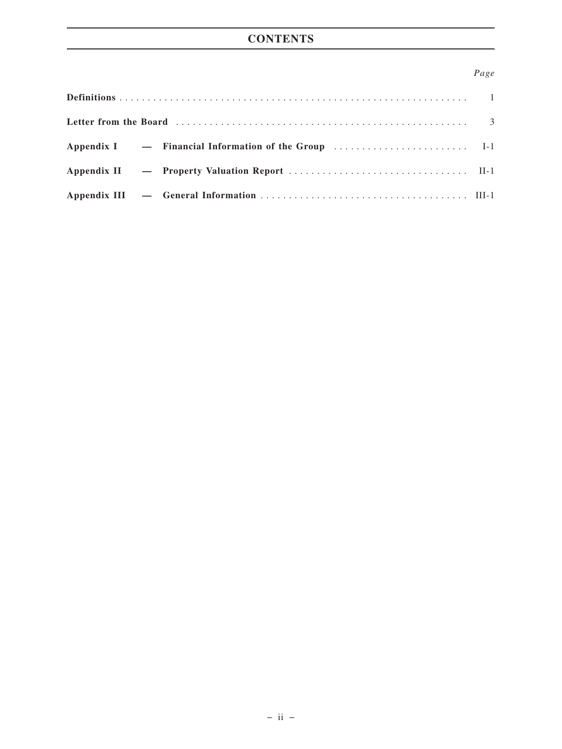# **CONTENTS**

# *Page*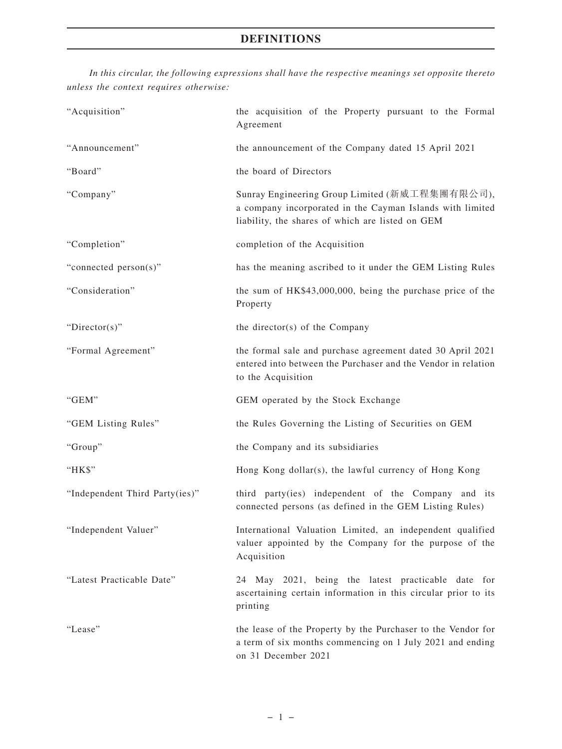*In this circular, the following expressions shall have the respective meanings set opposite thereto unless the context requires otherwise:*

| "Acquisition"                  | the acquisition of the Property pursuant to the Formal<br>Agreement                                                                                             |
|--------------------------------|-----------------------------------------------------------------------------------------------------------------------------------------------------------------|
| "Announcement"                 | the announcement of the Company dated 15 April 2021                                                                                                             |
| "Board"                        | the board of Directors                                                                                                                                          |
| "Company"                      | Sunray Engineering Group Limited (新威工程集團有限公司),<br>a company incorporated in the Cayman Islands with limited<br>liability, the shares of which are listed on GEM |
| "Completion"                   | completion of the Acquisition                                                                                                                                   |
| "connected person(s)"          | has the meaning ascribed to it under the GEM Listing Rules                                                                                                      |
| "Consideration"                | the sum of HK\$43,000,000, being the purchase price of the<br>Property                                                                                          |
| "Director(s)"                  | the director(s) of the Company                                                                                                                                  |
| "Formal Agreement"             | the formal sale and purchase agreement dated 30 April 2021<br>entered into between the Purchaser and the Vendor in relation<br>to the Acquisition               |
| "GEM"                          | GEM operated by the Stock Exchange                                                                                                                              |
| "GEM Listing Rules"            | the Rules Governing the Listing of Securities on GEM                                                                                                            |
| "Group"                        | the Company and its subsidiaries                                                                                                                                |
| "HK\$"                         | Hong Kong dollar(s), the lawful currency of Hong Kong                                                                                                           |
| "Independent Third Party(ies)" | third party(ies) independent of the Company and its<br>connected persons (as defined in the GEM Listing Rules)                                                  |
| "Independent Valuer"           | International Valuation Limited, an independent qualified<br>valuer appointed by the Company for the purpose of the<br>Acquisition                              |
| "Latest Practicable Date"      | 24 May 2021, being the latest practicable date for<br>ascertaining certain information in this circular prior to its<br>printing                                |
| "Lease"                        | the lease of the Property by the Purchaser to the Vendor for<br>a term of six months commencing on 1 July 2021 and ending<br>on 31 December 2021                |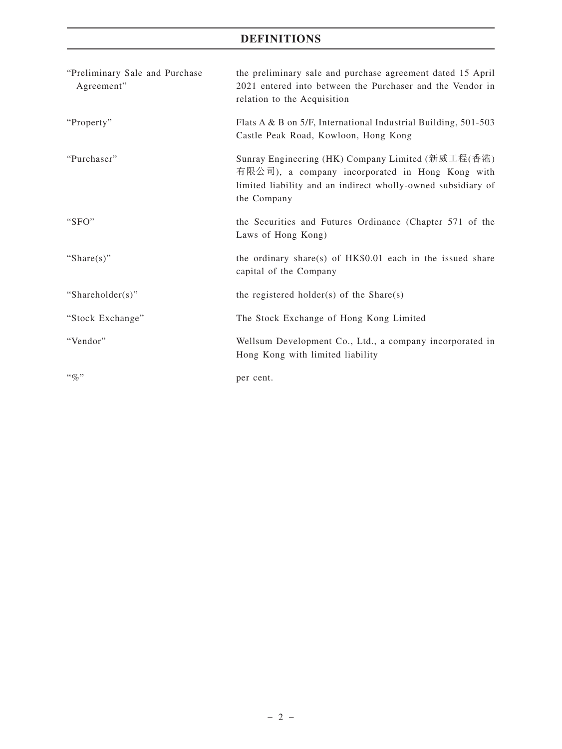# **DEFINITIONS**

| "Preliminary Sale and Purchase<br>Agreement" | the preliminary sale and purchase agreement dated 15 April<br>2021 entered into between the Purchaser and the Vendor in<br>relation to the Acquisition                              |
|----------------------------------------------|-------------------------------------------------------------------------------------------------------------------------------------------------------------------------------------|
| "Property"                                   | Flats A & B on 5/F, International Industrial Building, 501-503<br>Castle Peak Road, Kowloon, Hong Kong                                                                              |
| "Purchaser"                                  | Sunray Engineering (HK) Company Limited (新威工程(香港)<br>有限公司), a company incorporated in Hong Kong with<br>limited liability and an indirect wholly-owned subsidiary of<br>the Company |
| " $SFO"$                                     | the Securities and Futures Ordinance (Chapter 571 of the<br>Laws of Hong Kong)                                                                                                      |
| "Share $(s)$ "                               | the ordinary share(s) of $HK$0.01$ each in the issued share<br>capital of the Company                                                                                               |
| "Shareholder(s)"                             | the registered holder(s) of the $Share(s)$                                                                                                                                          |
| "Stock Exchange"                             | The Stock Exchange of Hong Kong Limited                                                                                                                                             |
| "Vendor"                                     | Wellsum Development Co., Ltd., a company incorporated in<br>Hong Kong with limited liability                                                                                        |
| $\lq q_0$ "                                  | per cent.                                                                                                                                                                           |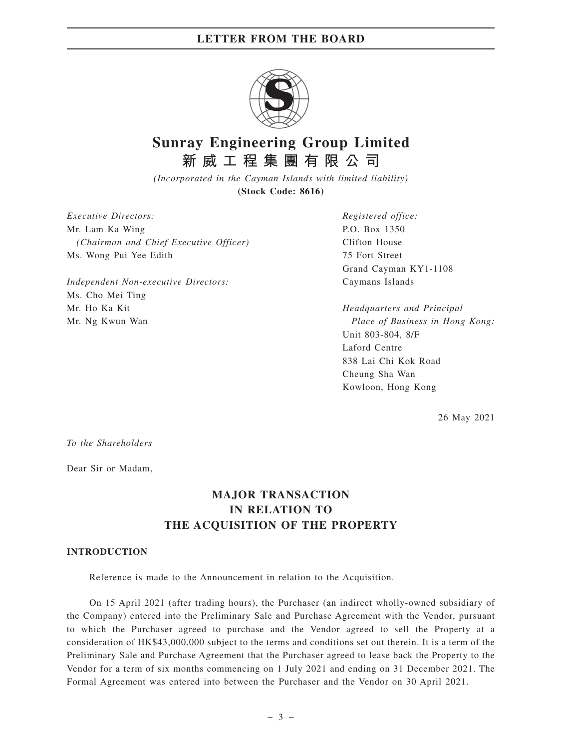

# **Sunray Engineering Group Limited 新威工程集團有限公司**

*(Incorporated in the Cayman Islands with limited liability)* **(Stock Code: 8616)**

*Executive Directors:* Mr. Lam Ka Wing *(Chairman and Chief Executive Officer)* Ms. Wong Pui Yee Edith

*Independent Non-executive Directors:* Ms. Cho Mei Ting Mr. Ho Ka Kit Mr. Ng Kwun Wan

*Registered office:* P.O. Box 1350 Clifton House 75 Fort Street Grand Cayman KY1-1108 Caymans Islands

*Headquarters and Principal Place of Business in Hong Kong:* Unit 803-804, 8/F Laford Centre 838 Lai Chi Kok Road Cheung Sha Wan Kowloon, Hong Kong

26 May 2021

*To the Shareholders*

Dear Sir or Madam,

# **MAJOR TRANSACTION IN RELATION TO THE ACQUISITION OF THE PROPERTY**

### **INTRODUCTION**

Reference is made to the Announcement in relation to the Acquisition.

On 15 April 2021 (after trading hours), the Purchaser (an indirect wholly-owned subsidiary of the Company) entered into the Preliminary Sale and Purchase Agreement with the Vendor, pursuant to which the Purchaser agreed to purchase and the Vendor agreed to sell the Property at a consideration of HK\$43,000,000 subject to the terms and conditions set out therein. It is a term of the Preliminary Sale and Purchase Agreement that the Purchaser agreed to lease back the Property to the Vendor for a term of six months commencing on 1 July 2021 and ending on 31 December 2021. The Formal Agreement was entered into between the Purchaser and the Vendor on 30 April 2021.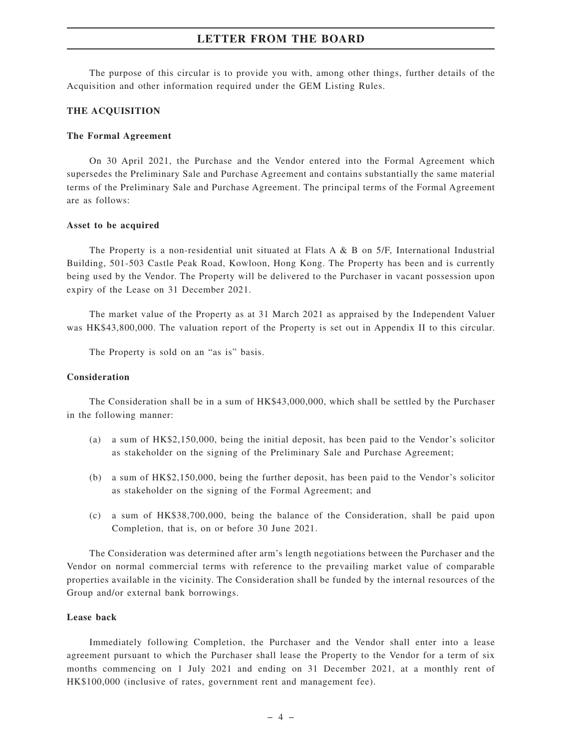The purpose of this circular is to provide you with, among other things, further details of the Acquisition and other information required under the GEM Listing Rules.

### **THE ACQUISITION**

#### **The Formal Agreement**

On 30 April 2021, the Purchase and the Vendor entered into the Formal Agreement which supersedes the Preliminary Sale and Purchase Agreement and contains substantially the same material terms of the Preliminary Sale and Purchase Agreement. The principal terms of the Formal Agreement are as follows:

#### **Asset to be acquired**

The Property is a non-residential unit situated at Flats A & B on 5/F, International Industrial Building, 501-503 Castle Peak Road, Kowloon, Hong Kong. The Property has been and is currently being used by the Vendor. The Property will be delivered to the Purchaser in vacant possession upon expiry of the Lease on 31 December 2021.

The market value of the Property as at 31 March 2021 as appraised by the Independent Valuer was HK\$43,800,000. The valuation report of the Property is set out in Appendix II to this circular.

The Property is sold on an "as is" basis.

#### **Consideration**

The Consideration shall be in a sum of HK\$43,000,000, which shall be settled by the Purchaser in the following manner:

- (a) a sum of HK\$2,150,000, being the initial deposit, has been paid to the Vendor's solicitor as stakeholder on the signing of the Preliminary Sale and Purchase Agreement;
- (b) a sum of HK\$2,150,000, being the further deposit, has been paid to the Vendor's solicitor as stakeholder on the signing of the Formal Agreement; and
- (c) a sum of HK\$38,700,000, being the balance of the Consideration, shall be paid upon Completion, that is, on or before 30 June 2021.

The Consideration was determined after arm's length negotiations between the Purchaser and the Vendor on normal commercial terms with reference to the prevailing market value of comparable properties available in the vicinity. The Consideration shall be funded by the internal resources of the Group and/or external bank borrowings.

#### **Lease back**

Immediately following Completion, the Purchaser and the Vendor shall enter into a lease agreement pursuant to which the Purchaser shall lease the Property to the Vendor for a term of six months commencing on 1 July 2021 and ending on 31 December 2021, at a monthly rent of HK\$100,000 (inclusive of rates, government rent and management fee).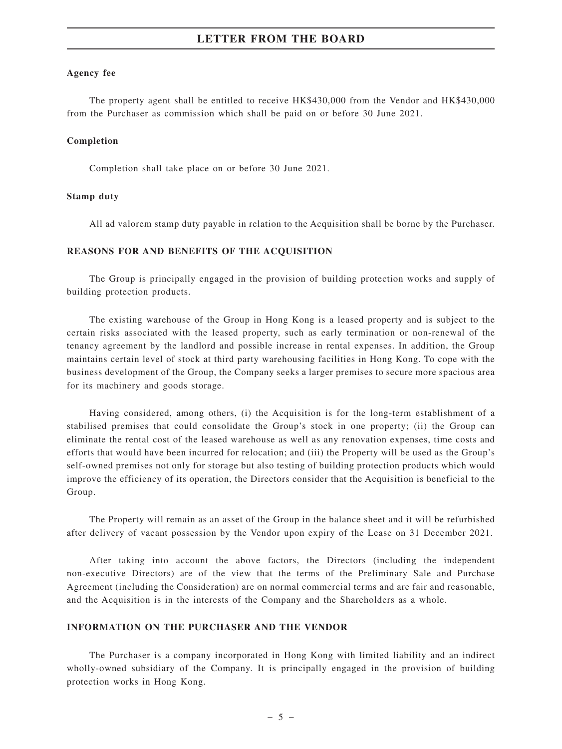#### **Agency fee**

The property agent shall be entitled to receive HK\$430,000 from the Vendor and HK\$430,000 from the Purchaser as commission which shall be paid on or before 30 June 2021.

#### **Completion**

Completion shall take place on or before 30 June 2021.

#### **Stamp duty**

All ad valorem stamp duty payable in relation to the Acquisition shall be borne by the Purchaser.

#### **REASONS FOR AND BENEFITS OF THE ACQUISITION**

The Group is principally engaged in the provision of building protection works and supply of building protection products.

The existing warehouse of the Group in Hong Kong is a leased property and is subject to the certain risks associated with the leased property, such as early termination or non-renewal of the tenancy agreement by the landlord and possible increase in rental expenses. In addition, the Group maintains certain level of stock at third party warehousing facilities in Hong Kong. To cope with the business development of the Group, the Company seeks a larger premises to secure more spacious area for its machinery and goods storage.

Having considered, among others, (i) the Acquisition is for the long-term establishment of a stabilised premises that could consolidate the Group's stock in one property; (ii) the Group can eliminate the rental cost of the leased warehouse as well as any renovation expenses, time costs and efforts that would have been incurred for relocation; and (iii) the Property will be used as the Group's self-owned premises not only for storage but also testing of building protection products which would improve the efficiency of its operation, the Directors consider that the Acquisition is beneficial to the Group.

The Property will remain as an asset of the Group in the balance sheet and it will be refurbished after delivery of vacant possession by the Vendor upon expiry of the Lease on 31 December 2021.

After taking into account the above factors, the Directors (including the independent non-executive Directors) are of the view that the terms of the Preliminary Sale and Purchase Agreement (including the Consideration) are on normal commercial terms and are fair and reasonable, and the Acquisition is in the interests of the Company and the Shareholders as a whole.

#### **INFORMATION ON THE PURCHASER AND THE VENDOR**

The Purchaser is a company incorporated in Hong Kong with limited liability and an indirect wholly-owned subsidiary of the Company. It is principally engaged in the provision of building protection works in Hong Kong.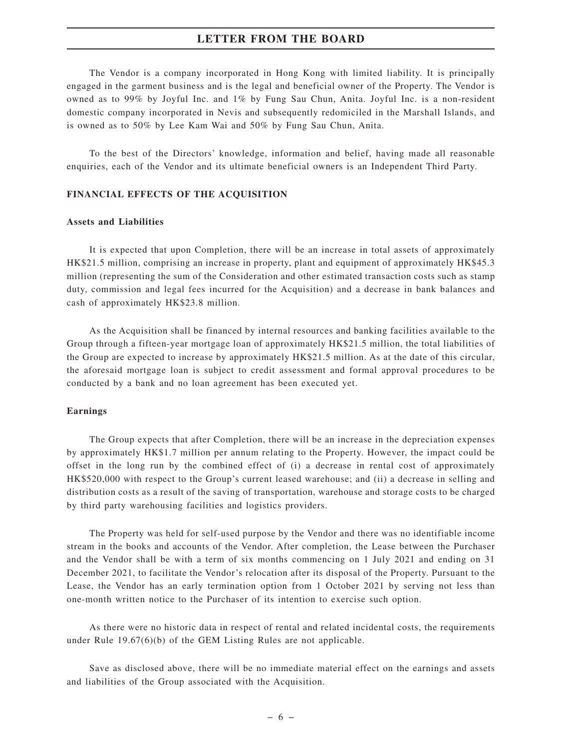The Vendor is a company incorporated in Hong Kong with limited liability. It is principally engaged in the garment business and is the legal and beneficial owner of the Property. The Vendor is owned as to 99% by Joyful Inc. and 1% by Fung Sau Chun, Anita. Joyful Inc. is a non-resident domestic company incorporated in Nevis and subsequently redomiciled in the Marshall Islands, and is owned as to 50% by Lee Kam Wai and 50% by Fung Sau Chun, Anita.

To the best of the Directors' knowledge, information and belief, having made all reasonable enquiries, each of the Vendor and its ultimate beneficial owners is an Independent Third Party.

#### **FINANCIAL EFFECTS OF THE ACQUISITION**

#### **Assets and Liabilities**

It is expected that upon Completion, there will be an increase in total assets of approximately HK\$21.5 million, comprising an increase in property, plant and equipment of approximately HK\$45.3 million (representing the sum of the Consideration and other estimated transaction costs such as stamp duty, commission and legal fees incurred for the Acquisition) and a decrease in bank balances and cash of approximately HK\$23.8 million.

As the Acquisition shall be financed by internal resources and banking facilities available to the Group through a fifteen-year mortgage loan of approximately HK\$21.5 million, the total liabilities of the Group are expected to increase by approximately HK\$21.5 million. As at the date of this circular, the aforesaid mortgage loan is subject to credit assessment and formal approval procedures to be conducted by a bank and no loan agreement has been executed yet.

#### **Earnings**

The Group expects that after Completion, there will be an increase in the depreciation expenses by approximately HK\$1.7 million per annum relating to the Property. However, the impact could be offset in the long run by the combined effect of (i) a decrease in rental cost of approximately HK\$520,000 with respect to the Group's current leased warehouse; and (ii) a decrease in selling and distribution costs as a result of the saving of transportation, warehouse and storage costs to be charged by third party warehousing facilities and logistics providers.

The Property was held for self-used purpose by the Vendor and there was no identifiable income stream in the books and accounts of the Vendor. After completion, the Lease between the Purchaser and the Vendor shall be with a term of six months commencing on 1 July 2021 and ending on 31 December 2021, to facilitate the Vendor's relocation after its disposal of the Property. Pursuant to the Lease, the Vendor has an early termination option from 1 October 2021 by serving not less than one-month written notice to the Purchaser of its intention to exercise such option.

As there were no historic data in respect of rental and related incidental costs, the requirements under Rule 19.67(6)(b) of the GEM Listing Rules are not applicable.

Save as disclosed above, there will be no immediate material effect on the earnings and assets and liabilities of the Group associated with the Acquisition.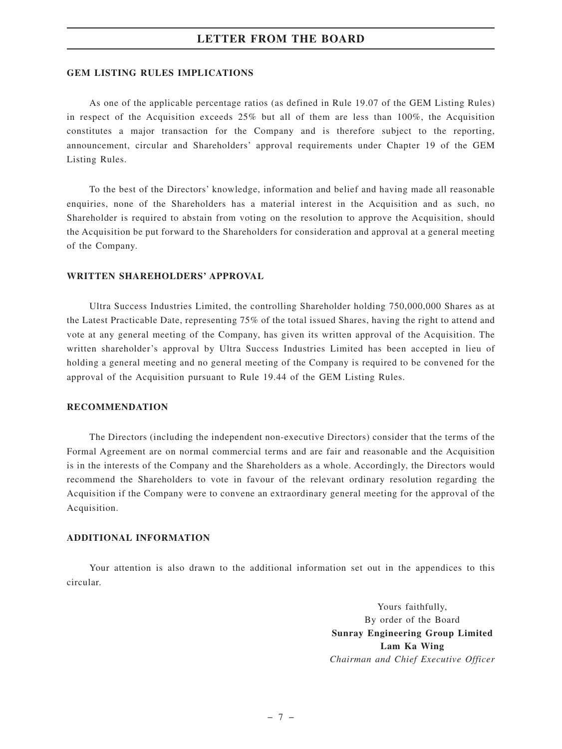#### **GEM LISTING RULES IMPLICATIONS**

As one of the applicable percentage ratios (as defined in Rule 19.07 of the GEM Listing Rules) in respect of the Acquisition exceeds 25% but all of them are less than 100%, the Acquisition constitutes a major transaction for the Company and is therefore subject to the reporting, announcement, circular and Shareholders' approval requirements under Chapter 19 of the GEM Listing Rules.

To the best of the Directors' knowledge, information and belief and having made all reasonable enquiries, none of the Shareholders has a material interest in the Acquisition and as such, no Shareholder is required to abstain from voting on the resolution to approve the Acquisition, should the Acquisition be put forward to the Shareholders for consideration and approval at a general meeting of the Company.

#### **WRITTEN SHAREHOLDERS' APPROVAL**

Ultra Success Industries Limited, the controlling Shareholder holding 750,000,000 Shares as at the Latest Practicable Date, representing 75% of the total issued Shares, having the right to attend and vote at any general meeting of the Company, has given its written approval of the Acquisition. The written shareholder's approval by Ultra Success Industries Limited has been accepted in lieu of holding a general meeting and no general meeting of the Company is required to be convened for the approval of the Acquisition pursuant to Rule 19.44 of the GEM Listing Rules.

#### **RECOMMENDATION**

The Directors (including the independent non-executive Directors) consider that the terms of the Formal Agreement are on normal commercial terms and are fair and reasonable and the Acquisition is in the interests of the Company and the Shareholders as a whole. Accordingly, the Directors would recommend the Shareholders to vote in favour of the relevant ordinary resolution regarding the Acquisition if the Company were to convene an extraordinary general meeting for the approval of the Acquisition.

#### **ADDITIONAL INFORMATION**

Your attention is also drawn to the additional information set out in the appendices to this circular.

> Yours faithfully, By order of the Board **Sunray Engineering Group Limited Lam Ka Wing** *Chairman and Chief Executive Officer*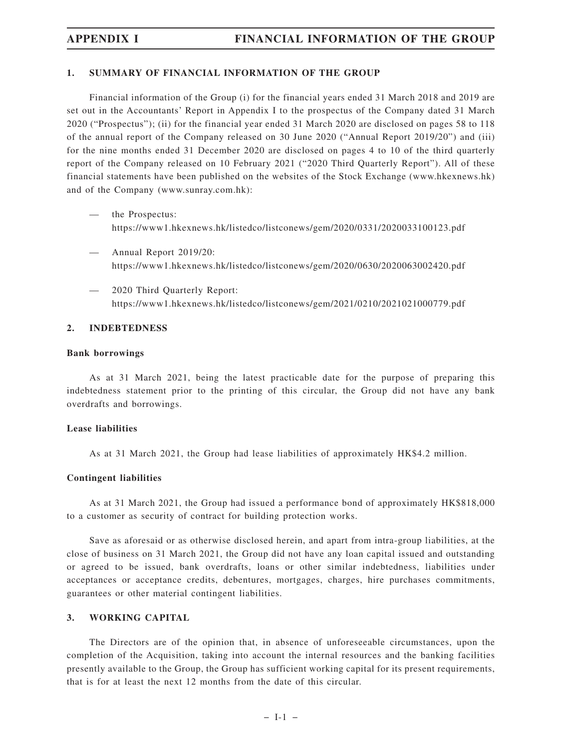## **1. SUMMARY OF FINANCIAL INFORMATION OF THE GROUP**

Financial information of the Group (i) for the financial years ended 31 March 2018 and 2019 are set out in the Accountants' Report in Appendix I to the prospectus of the Company dated 31 March 2020 ("Prospectus"); (ii) for the financial year ended 31 March 2020 are disclosed on pages 58 to 118 of the annual report of the Company released on 30 June 2020 ("Annual Report 2019/20") and (iii) for the nine months ended 31 December 2020 are disclosed on pages 4 to 10 of the third quarterly report of the Company released on 10 February 2021 ("2020 Third Quarterly Report"). All of these financial statements have been published on the websites of the Stock Exchange (www.hkexnews.hk) and of the Company (www.sunray.com.hk):

- the Prospectus: https://www1.hkexnews.hk/listedco/listconews/gem/2020/0331/2020033100123.pdf
- Annual Report 2019/20: https://www1.hkexnews.hk/listedco/listconews/gem/2020/0630/2020063002420.pdf
- 2020 Third Quarterly Report: https://www1.hkexnews.hk/listedco/listconews/gem/2021/0210/2021021000779.pdf

## **2. INDEBTEDNESS**

### **Bank borrowings**

As at 31 March 2021, being the latest practicable date for the purpose of preparing this indebtedness statement prior to the printing of this circular, the Group did not have any bank overdrafts and borrowings.

## **Lease liabilities**

As at 31 March 2021, the Group had lease liabilities of approximately HK\$4.2 million.

## **Contingent liabilities**

As at 31 March 2021, the Group had issued a performance bond of approximately HK\$818,000 to a customer as security of contract for building protection works.

Save as aforesaid or as otherwise disclosed herein, and apart from intra-group liabilities, at the close of business on 31 March 2021, the Group did not have any loan capital issued and outstanding or agreed to be issued, bank overdrafts, loans or other similar indebtedness, liabilities under acceptances or acceptance credits, debentures, mortgages, charges, hire purchases commitments, guarantees or other material contingent liabilities.

## **3. WORKING CAPITAL**

The Directors are of the opinion that, in absence of unforeseeable circumstances, upon the completion of the Acquisition, taking into account the internal resources and the banking facilities presently available to the Group, the Group has sufficient working capital for its present requirements, that is for at least the next 12 months from the date of this circular.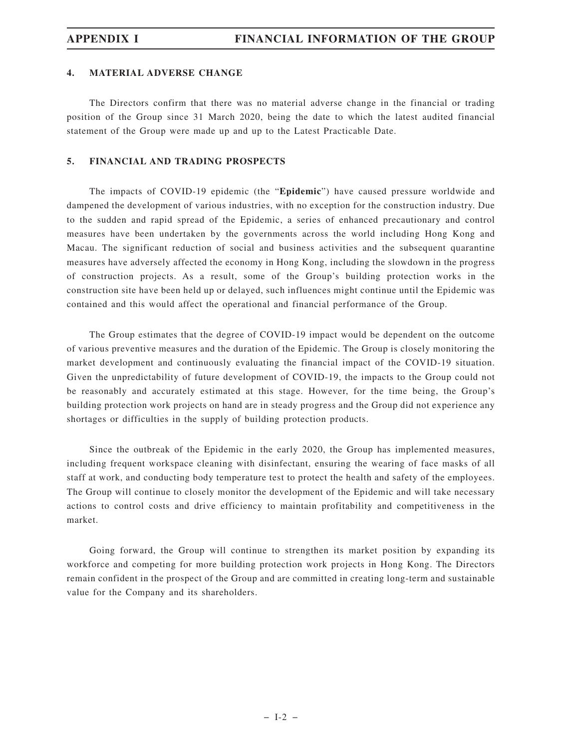## **4. MATERIAL ADVERSE CHANGE**

The Directors confirm that there was no material adverse change in the financial or trading position of the Group since 31 March 2020, being the date to which the latest audited financial statement of the Group were made up and up to the Latest Practicable Date.

### **5. FINANCIAL AND TRADING PROSPECTS**

The impacts of COVID-19 epidemic (the "**Epidemic**") have caused pressure worldwide and dampened the development of various industries, with no exception for the construction industry. Due to the sudden and rapid spread of the Epidemic, a series of enhanced precautionary and control measures have been undertaken by the governments across the world including Hong Kong and Macau. The significant reduction of social and business activities and the subsequent quarantine measures have adversely affected the economy in Hong Kong, including the slowdown in the progress of construction projects. As a result, some of the Group's building protection works in the construction site have been held up or delayed, such influences might continue until the Epidemic was contained and this would affect the operational and financial performance of the Group.

The Group estimates that the degree of COVID-19 impact would be dependent on the outcome of various preventive measures and the duration of the Epidemic. The Group is closely monitoring the market development and continuously evaluating the financial impact of the COVID-19 situation. Given the unpredictability of future development of COVID-19, the impacts to the Group could not be reasonably and accurately estimated at this stage. However, for the time being, the Group's building protection work projects on hand are in steady progress and the Group did not experience any shortages or difficulties in the supply of building protection products.

Since the outbreak of the Epidemic in the early 2020, the Group has implemented measures, including frequent workspace cleaning with disinfectant, ensuring the wearing of face masks of all staff at work, and conducting body temperature test to protect the health and safety of the employees. The Group will continue to closely monitor the development of the Epidemic and will take necessary actions to control costs and drive efficiency to maintain profitability and competitiveness in the market.

Going forward, the Group will continue to strengthen its market position by expanding its workforce and competing for more building protection work projects in Hong Kong. The Directors remain confident in the prospect of the Group and are committed in creating long-term and sustainable value for the Company and its shareholders.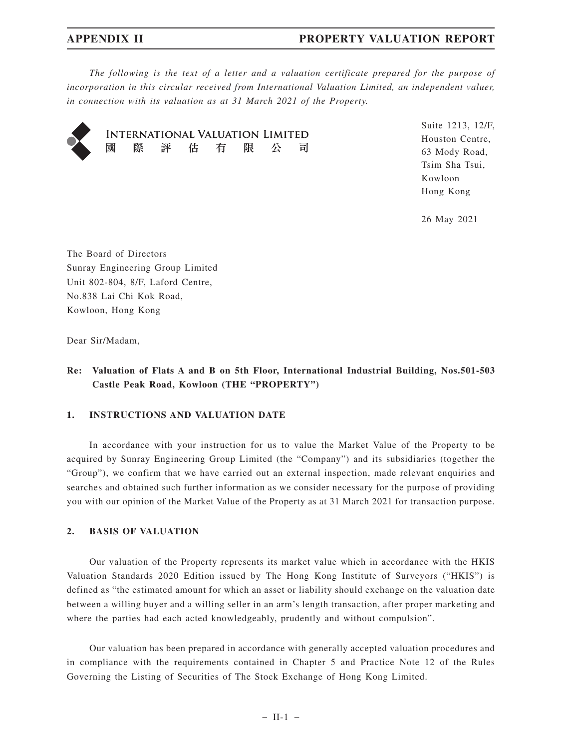# **APPENDIX II PROPERTY VALUATION REPORT**

*The following is the text of a letter and a valuation certificate prepared for the purpose of incorporation in this circular received from International Valuation Limited, an independent valuer, in connection with its valuation as at 31 March 2021 of the Property.*



**INTERNATIONAL VALUATION LIMITED** 國 際 評 估 有 限 公 司 Suite 1213, 12/F, Houston Centre, 63 Mody Road, Tsim Sha Tsui, Kowloon Hong Kong

26 May 2021

The Board of Directors Sunray Engineering Group Limited Unit 802-804, 8/F, Laford Centre, No.838 Lai Chi Kok Road, Kowloon, Hong Kong

Dear Sir/Madam,

# **Re: Valuation of Flats A and B on 5th Floor, International Industrial Building, Nos.501-503 Castle Peak Road, Kowloon (THE "PROPERTY")**

## **1. INSTRUCTIONS AND VALUATION DATE**

In accordance with your instruction for us to value the Market Value of the Property to be acquired by Sunray Engineering Group Limited (the "Company") and its subsidiaries (together the "Group"), we confirm that we have carried out an external inspection, made relevant enquiries and searches and obtained such further information as we consider necessary for the purpose of providing you with our opinion of the Market Value of the Property as at 31 March 2021 for transaction purpose.

## **2. BASIS OF VALUATION**

Our valuation of the Property represents its market value which in accordance with the HKIS Valuation Standards 2020 Edition issued by The Hong Kong Institute of Surveyors ("HKIS") is defined as "the estimated amount for which an asset or liability should exchange on the valuation date between a willing buyer and a willing seller in an arm's length transaction, after proper marketing and where the parties had each acted knowledgeably, prudently and without compulsion".

Our valuation has been prepared in accordance with generally accepted valuation procedures and in compliance with the requirements contained in Chapter 5 and Practice Note 12 of the Rules Governing the Listing of Securities of The Stock Exchange of Hong Kong Limited.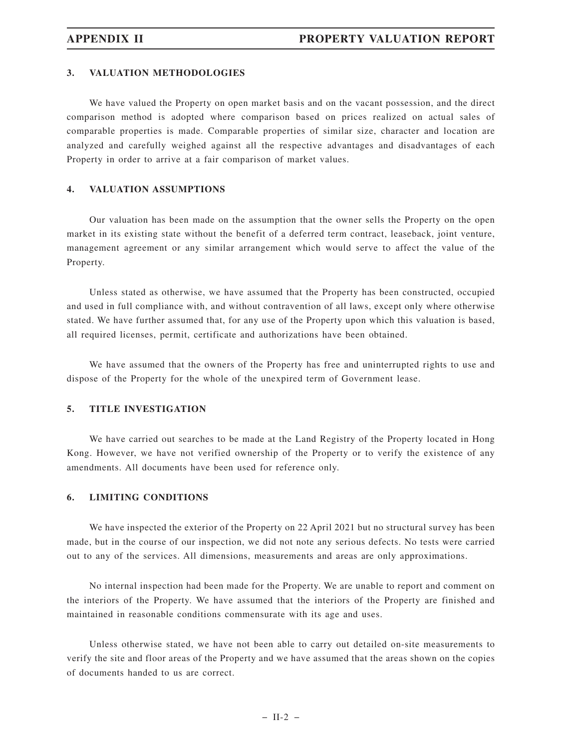#### **3. VALUATION METHODOLOGIES**

We have valued the Property on open market basis and on the vacant possession, and the direct comparison method is adopted where comparison based on prices realized on actual sales of comparable properties is made. Comparable properties of similar size, character and location are analyzed and carefully weighed against all the respective advantages and disadvantages of each Property in order to arrive at a fair comparison of market values.

### **4. VALUATION ASSUMPTIONS**

Our valuation has been made on the assumption that the owner sells the Property on the open market in its existing state without the benefit of a deferred term contract, leaseback, joint venture, management agreement or any similar arrangement which would serve to affect the value of the Property.

Unless stated as otherwise, we have assumed that the Property has been constructed, occupied and used in full compliance with, and without contravention of all laws, except only where otherwise stated. We have further assumed that, for any use of the Property upon which this valuation is based, all required licenses, permit, certificate and authorizations have been obtained.

We have assumed that the owners of the Property has free and uninterrupted rights to use and dispose of the Property for the whole of the unexpired term of Government lease.

## **5. TITLE INVESTIGATION**

We have carried out searches to be made at the Land Registry of the Property located in Hong Kong. However, we have not verified ownership of the Property or to verify the existence of any amendments. All documents have been used for reference only.

### **6. LIMITING CONDITIONS**

We have inspected the exterior of the Property on 22 April 2021 but no structural survey has been made, but in the course of our inspection, we did not note any serious defects. No tests were carried out to any of the services. All dimensions, measurements and areas are only approximations.

No internal inspection had been made for the Property. We are unable to report and comment on the interiors of the Property. We have assumed that the interiors of the Property are finished and maintained in reasonable conditions commensurate with its age and uses.

Unless otherwise stated, we have not been able to carry out detailed on-site measurements to verify the site and floor areas of the Property and we have assumed that the areas shown on the copies of documents handed to us are correct.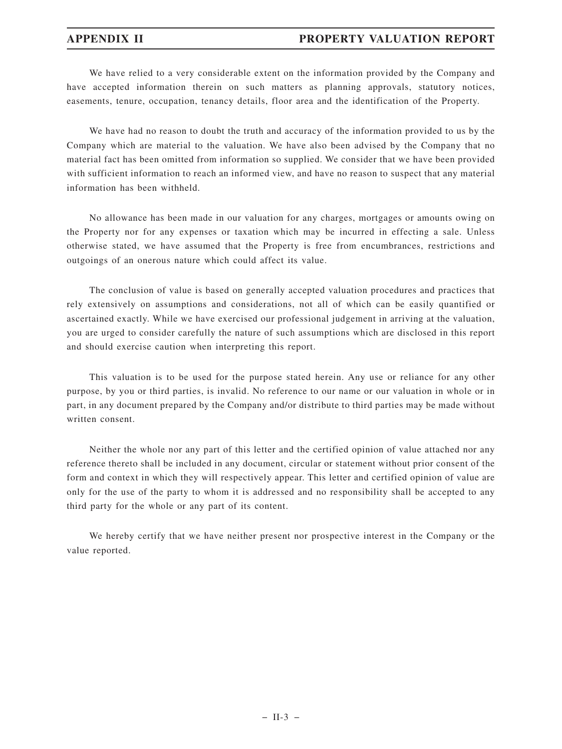# **APPENDIX II PROPERTY VALUATION REPORT**

We have relied to a very considerable extent on the information provided by the Company and have accepted information therein on such matters as planning approvals, statutory notices, easements, tenure, occupation, tenancy details, floor area and the identification of the Property.

We have had no reason to doubt the truth and accuracy of the information provided to us by the Company which are material to the valuation. We have also been advised by the Company that no material fact has been omitted from information so supplied. We consider that we have been provided with sufficient information to reach an informed view, and have no reason to suspect that any material information has been withheld.

No allowance has been made in our valuation for any charges, mortgages or amounts owing on the Property nor for any expenses or taxation which may be incurred in effecting a sale. Unless otherwise stated, we have assumed that the Property is free from encumbrances, restrictions and outgoings of an onerous nature which could affect its value.

The conclusion of value is based on generally accepted valuation procedures and practices that rely extensively on assumptions and considerations, not all of which can be easily quantified or ascertained exactly. While we have exercised our professional judgement in arriving at the valuation, you are urged to consider carefully the nature of such assumptions which are disclosed in this report and should exercise caution when interpreting this report.

This valuation is to be used for the purpose stated herein. Any use or reliance for any other purpose, by you or third parties, is invalid. No reference to our name or our valuation in whole or in part, in any document prepared by the Company and/or distribute to third parties may be made without written consent.

Neither the whole nor any part of this letter and the certified opinion of value attached nor any reference thereto shall be included in any document, circular or statement without prior consent of the form and context in which they will respectively appear. This letter and certified opinion of value are only for the use of the party to whom it is addressed and no responsibility shall be accepted to any third party for the whole or any part of its content.

We hereby certify that we have neither present nor prospective interest in the Company or the value reported.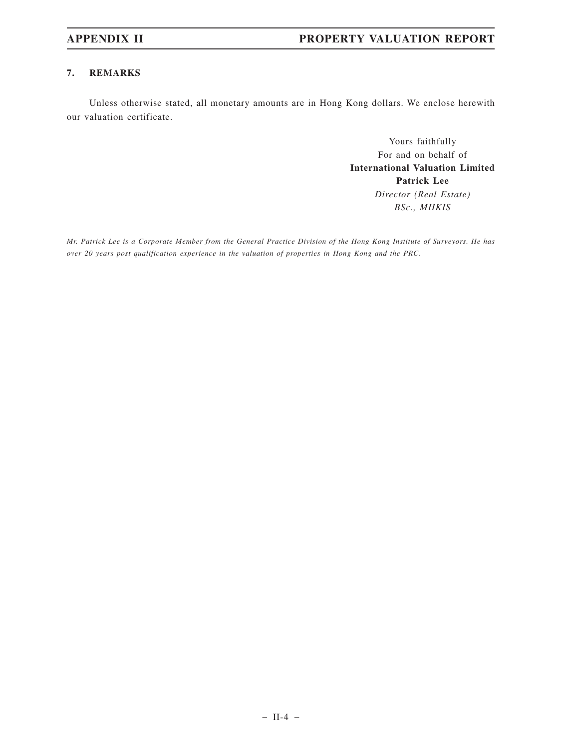# **7. REMARKS**

Unless otherwise stated, all monetary amounts are in Hong Kong dollars. We enclose herewith our valuation certificate.

> Yours faithfully For and on behalf of **International Valuation Limited Patrick Lee** *Director (Real Estate) BSc., MHKIS*

*Mr. Patrick Lee is a Corporate Member from the General Practice Division of the Hong Kong Institute of Surveyors. He has over 20 years post qualification experience in the valuation of properties in Hong Kong and the PRC.*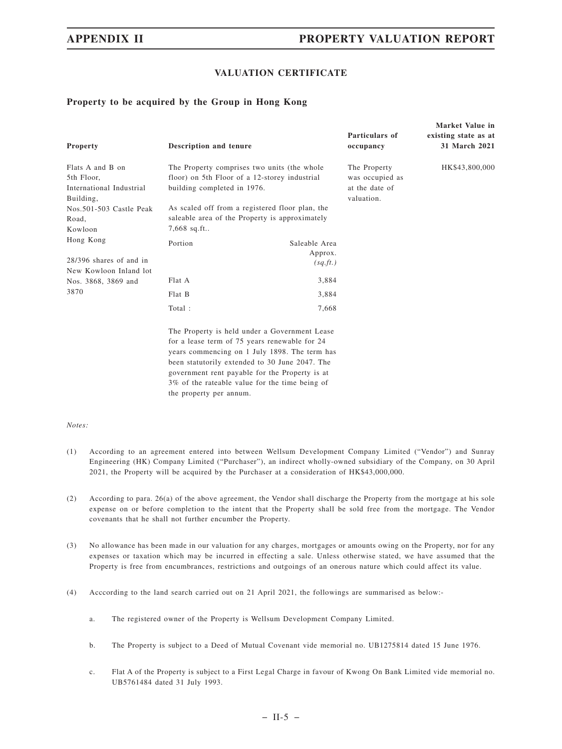**Market Value in**

# **VALUATION CERTIFICATE**

## **Property to be acquired by the Group in Hong Kong**

| Property                                                                                                    | Description and tenure                                                                                                                                                                                                                                                                                |                                                                                                                                                                                                   | Particulars of<br>occupancy                                     | existing state as at<br>31 March 2021 |
|-------------------------------------------------------------------------------------------------------------|-------------------------------------------------------------------------------------------------------------------------------------------------------------------------------------------------------------------------------------------------------------------------------------------------------|---------------------------------------------------------------------------------------------------------------------------------------------------------------------------------------------------|-----------------------------------------------------------------|---------------------------------------|
| Flats A and B on<br>5th Floor,<br>International Industrial<br>Building,<br>Nos.501-503 Castle Peak<br>Road, | building completed in 1976.                                                                                                                                                                                                                                                                           | The Property comprises two units (the whole<br>floor) on 5th Floor of a 12-storey industrial<br>As scaled off from a registered floor plan, the<br>saleable area of the Property is approximately | The Property<br>was occupied as<br>at the date of<br>valuation. | HK\$43,800,000                        |
| Kowloon                                                                                                     | $7,668$ sq.ft                                                                                                                                                                                                                                                                                         |                                                                                                                                                                                                   |                                                                 |                                       |
| Hong Kong<br>28/396 shares of and in<br>New Kowloon Inland lot<br>Nos. 3868, 3869 and                       | Portion<br>Flat A                                                                                                                                                                                                                                                                                     | Saleable Area<br>Approx.<br>(sq.ft.)<br>3,884                                                                                                                                                     |                                                                 |                                       |
| 3870                                                                                                        | Flat B                                                                                                                                                                                                                                                                                                | 3,884                                                                                                                                                                                             |                                                                 |                                       |
|                                                                                                             | Total:                                                                                                                                                                                                                                                                                                | 7,668                                                                                                                                                                                             |                                                                 |                                       |
|                                                                                                             | The Property is held under a Government Lease<br>for a lease term of 75 years renewable for 24<br>years commencing on 1 July 1898. The term has<br>been statutorily extended to 30 June 2047. The<br>government rent payable for the Property is at<br>3% of the rateable value for the time being of |                                                                                                                                                                                                   |                                                                 |                                       |

#### *Notes:*

- (1) According to an agreement entered into between Wellsum Development Company Limited ("Vendor") and Sunray Engineering (HK) Company Limited ("Purchaser"), an indirect wholly-owned subsidiary of the Company, on 30 April 2021, the Property will be acquired by the Purchaser at a consideration of HK\$43,000,000.
- (2) According to para. 26(a) of the above agreement, the Vendor shall discharge the Property from the mortgage at his sole expense on or before completion to the intent that the Property shall be sold free from the mortgage. The Vendor covenants that he shall not further encumber the Property.
- (3) No allowance has been made in our valuation for any charges, mortgages or amounts owing on the Property, nor for any expenses or taxation which may be incurred in effecting a sale. Unless otherwise stated, we have assumed that the Property is free from encumbrances, restrictions and outgoings of an onerous nature which could affect its value.
- (4) Acccording to the land search carried out on 21 April 2021, the followings are summarised as below:
	- a. The registered owner of the Property is Wellsum Development Company Limited.

the property per annum.

- b. The Property is subject to a Deed of Mutual Covenant vide memorial no. UB1275814 dated 15 June 1976.
- c. Flat A of the Property is subject to a First Legal Charge in favour of Kwong On Bank Limited vide memorial no. UB5761484 dated 31 July 1993.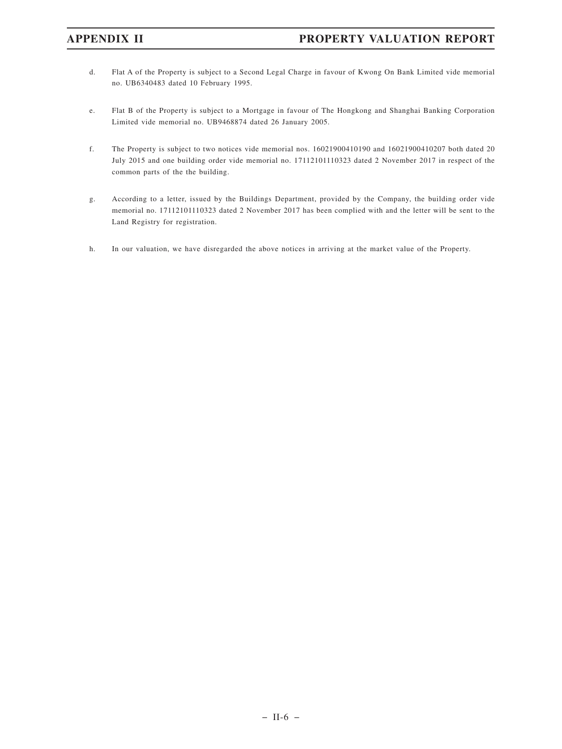- d. Flat A of the Property is subject to a Second Legal Charge in favour of Kwong On Bank Limited vide memorial no. UB6340483 dated 10 February 1995.
- e. Flat B of the Property is subject to a Mortgage in favour of The Hongkong and Shanghai Banking Corporation Limited vide memorial no. UB9468874 dated 26 January 2005.
- f. The Property is subject to two notices vide memorial nos. 16021900410190 and 16021900410207 both dated 20 July 2015 and one building order vide memorial no. 17112101110323 dated 2 November 2017 in respect of the common parts of the the building.
- g. According to a letter, issued by the Buildings Department, provided by the Company, the building order vide memorial no. 17112101110323 dated 2 November 2017 has been complied with and the letter will be sent to the Land Registry for registration.
- h. In our valuation, we have disregarded the above notices in arriving at the market value of the Property.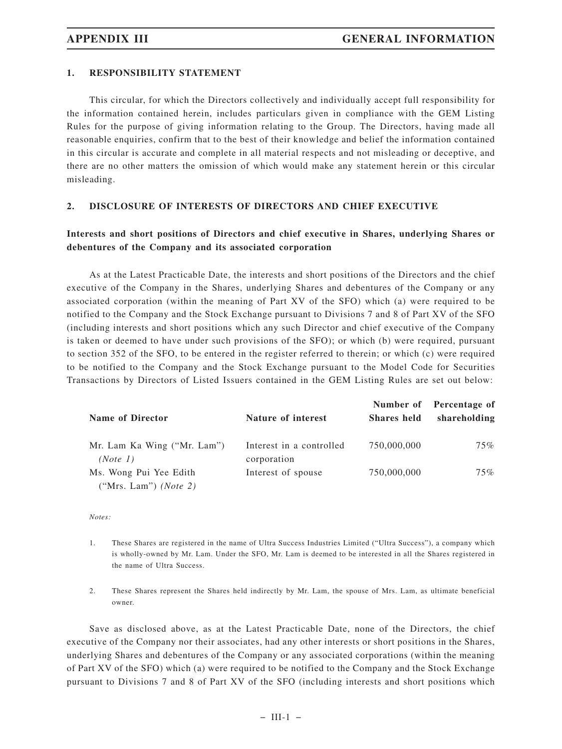# **1. RESPONSIBILITY STATEMENT**

This circular, for which the Directors collectively and individually accept full responsibility for the information contained herein, includes particulars given in compliance with the GEM Listing Rules for the purpose of giving information relating to the Group. The Directors, having made all reasonable enquiries, confirm that to the best of their knowledge and belief the information contained in this circular is accurate and complete in all material respects and not misleading or deceptive, and there are no other matters the omission of which would make any statement herein or this circular misleading.

## **2. DISCLOSURE OF INTERESTS OF DIRECTORS AND CHIEF EXECUTIVE**

# **Interests and short positions of Directors and chief executive in Shares, underlying Shares or debentures of the Company and its associated corporation**

As at the Latest Practicable Date, the interests and short positions of the Directors and the chief executive of the Company in the Shares, underlying Shares and debentures of the Company or any associated corporation (within the meaning of Part XV of the SFO) which (a) were required to be notified to the Company and the Stock Exchange pursuant to Divisions 7 and 8 of Part XV of the SFO (including interests and short positions which any such Director and chief executive of the Company is taken or deemed to have under such provisions of the SFO); or which (b) were required, pursuant to section 352 of the SFO, to be entered in the register referred to therein; or which (c) were required to be notified to the Company and the Stock Exchange pursuant to the Model Code for Securities Transactions by Directors of Listed Issuers contained in the GEM Listing Rules are set out below:

| <b>Name of Director</b>                                 | Nature of interest                      | Shares held | Number of Percentage of<br>shareholding |
|---------------------------------------------------------|-----------------------------------------|-------------|-----------------------------------------|
| Mr. Lam Ka Wing ("Mr. Lam")<br>(Note 1)                 | Interest in a controlled<br>corporation | 750,000,000 | 75%                                     |
| Ms. Wong Pui Yee Edith<br>("Mrs. Lam") ( <i>Note</i> 2) | Interest of spouse                      | 750,000,000 | 75%                                     |

#### *Notes:*

- 1. These Shares are registered in the name of Ultra Success Industries Limited ("Ultra Success"), a company which is wholly-owned by Mr. Lam. Under the SFO, Mr. Lam is deemed to be interested in all the Shares registered in the name of Ultra Success.
- 2. These Shares represent the Shares held indirectly by Mr. Lam, the spouse of Mrs. Lam, as ultimate beneficial owner.

Save as disclosed above, as at the Latest Practicable Date, none of the Directors, the chief executive of the Company nor their associates, had any other interests or short positions in the Shares, underlying Shares and debentures of the Company or any associated corporations (within the meaning of Part XV of the SFO) which (a) were required to be notified to the Company and the Stock Exchange pursuant to Divisions 7 and 8 of Part XV of the SFO (including interests and short positions which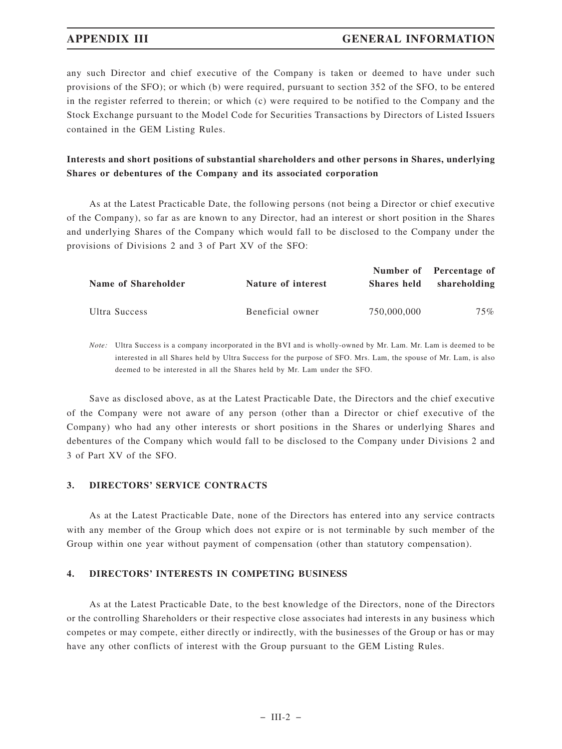# **APPENDIX III GENERAL INFORMATION**

any such Director and chief executive of the Company is taken or deemed to have under such provisions of the SFO); or which (b) were required, pursuant to section 352 of the SFO, to be entered in the register referred to therein; or which (c) were required to be notified to the Company and the Stock Exchange pursuant to the Model Code for Securities Transactions by Directors of Listed Issuers contained in the GEM Listing Rules.

# **Interests and short positions of substantial shareholders and other persons in Shares, underlying Shares or debentures of the Company and its associated corporation**

As at the Latest Practicable Date, the following persons (not being a Director or chief executive of the Company), so far as are known to any Director, had an interest or short position in the Shares and underlying Shares of the Company which would fall to be disclosed to the Company under the provisions of Divisions 2 and 3 of Part XV of the SFO:

| Name of Shareholder | Nature of interest | <b>Shares held</b> | Number of Percentage of<br>shareholding |
|---------------------|--------------------|--------------------|-----------------------------------------|
| Ultra Success       | Beneficial owner   | 750,000,000        | 75%                                     |

*Note:* Ultra Success is a company incorporated in the BVI and is wholly-owned by Mr. Lam. Mr. Lam is deemed to be interested in all Shares held by Ultra Success for the purpose of SFO. Mrs. Lam, the spouse of Mr. Lam, is also deemed to be interested in all the Shares held by Mr. Lam under the SFO.

Save as disclosed above, as at the Latest Practicable Date, the Directors and the chief executive of the Company were not aware of any person (other than a Director or chief executive of the Company) who had any other interests or short positions in the Shares or underlying Shares and debentures of the Company which would fall to be disclosed to the Company under Divisions 2 and 3 of Part XV of the SFO.

## **3. DIRECTORS' SERVICE CONTRACTS**

As at the Latest Practicable Date, none of the Directors has entered into any service contracts with any member of the Group which does not expire or is not terminable by such member of the Group within one year without payment of compensation (other than statutory compensation).

## **4. DIRECTORS' INTERESTS IN COMPETING BUSINESS**

As at the Latest Practicable Date, to the best knowledge of the Directors, none of the Directors or the controlling Shareholders or their respective close associates had interests in any business which competes or may compete, either directly or indirectly, with the businesses of the Group or has or may have any other conflicts of interest with the Group pursuant to the GEM Listing Rules.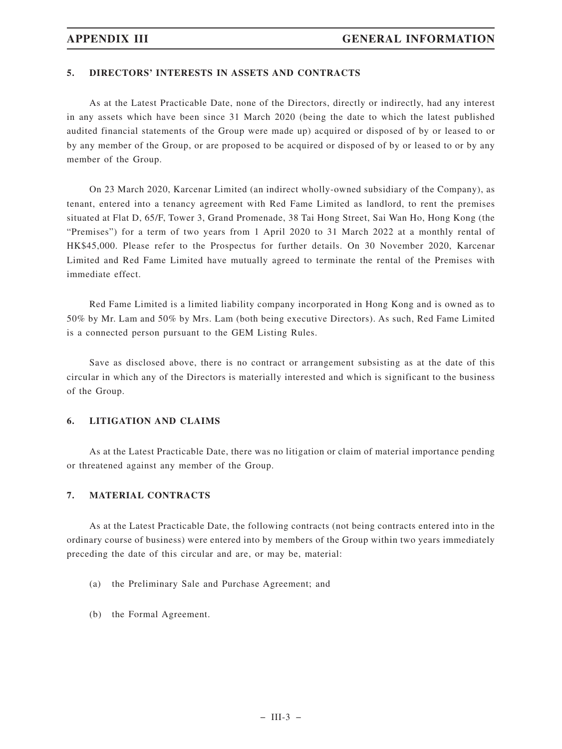# **5. DIRECTORS' INTERESTS IN ASSETS AND CONTRACTS**

As at the Latest Practicable Date, none of the Directors, directly or indirectly, had any interest in any assets which have been since 31 March 2020 (being the date to which the latest published audited financial statements of the Group were made up) acquired or disposed of by or leased to or by any member of the Group, or are proposed to be acquired or disposed of by or leased to or by any member of the Group.

On 23 March 2020, Karcenar Limited (an indirect wholly-owned subsidiary of the Company), as tenant, entered into a tenancy agreement with Red Fame Limited as landlord, to rent the premises situated at Flat D, 65/F, Tower 3, Grand Promenade, 38 Tai Hong Street, Sai Wan Ho, Hong Kong (the "Premises") for a term of two years from 1 April 2020 to 31 March 2022 at a monthly rental of HK\$45,000. Please refer to the Prospectus for further details. On 30 November 2020, Karcenar Limited and Red Fame Limited have mutually agreed to terminate the rental of the Premises with immediate effect.

Red Fame Limited is a limited liability company incorporated in Hong Kong and is owned as to 50% by Mr. Lam and 50% by Mrs. Lam (both being executive Directors). As such, Red Fame Limited is a connected person pursuant to the GEM Listing Rules.

Save as disclosed above, there is no contract or arrangement subsisting as at the date of this circular in which any of the Directors is materially interested and which is significant to the business of the Group.

## **6. LITIGATION AND CLAIMS**

As at the Latest Practicable Date, there was no litigation or claim of material importance pending or threatened against any member of the Group.

## **7. MATERIAL CONTRACTS**

As at the Latest Practicable Date, the following contracts (not being contracts entered into in the ordinary course of business) were entered into by members of the Group within two years immediately preceding the date of this circular and are, or may be, material:

- (a) the Preliminary Sale and Purchase Agreement; and
- (b) the Formal Agreement.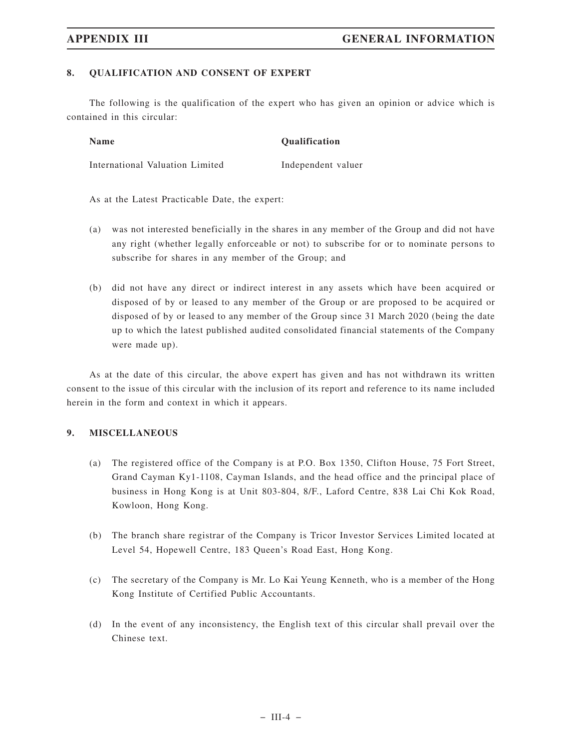# **8. QUALIFICATION AND CONSENT OF EXPERT**

The following is the qualification of the expert who has given an opinion or advice which is contained in this circular:

**Name** Qualification International Valuation Limited Independent valuer

As at the Latest Practicable Date, the expert:

- (a) was not interested beneficially in the shares in any member of the Group and did not have any right (whether legally enforceable or not) to subscribe for or to nominate persons to subscribe for shares in any member of the Group; and
- (b) did not have any direct or indirect interest in any assets which have been acquired or disposed of by or leased to any member of the Group or are proposed to be acquired or disposed of by or leased to any member of the Group since 31 March 2020 (being the date up to which the latest published audited consolidated financial statements of the Company were made up).

As at the date of this circular, the above expert has given and has not withdrawn its written consent to the issue of this circular with the inclusion of its report and reference to its name included herein in the form and context in which it appears.

## **9. MISCELLANEOUS**

- (a) The registered office of the Company is at P.O. Box 1350, Clifton House, 75 Fort Street, Grand Cayman Ky1-1108, Cayman Islands, and the head office and the principal place of business in Hong Kong is at Unit 803-804, 8/F., Laford Centre, 838 Lai Chi Kok Road, Kowloon, Hong Kong.
- (b) The branch share registrar of the Company is Tricor Investor Services Limited located at Level 54, Hopewell Centre, 183 Queen's Road East, Hong Kong.
- (c) The secretary of the Company is Mr. Lo Kai Yeung Kenneth, who is a member of the Hong Kong Institute of Certified Public Accountants.
- (d) In the event of any inconsistency, the English text of this circular shall prevail over the Chinese text.